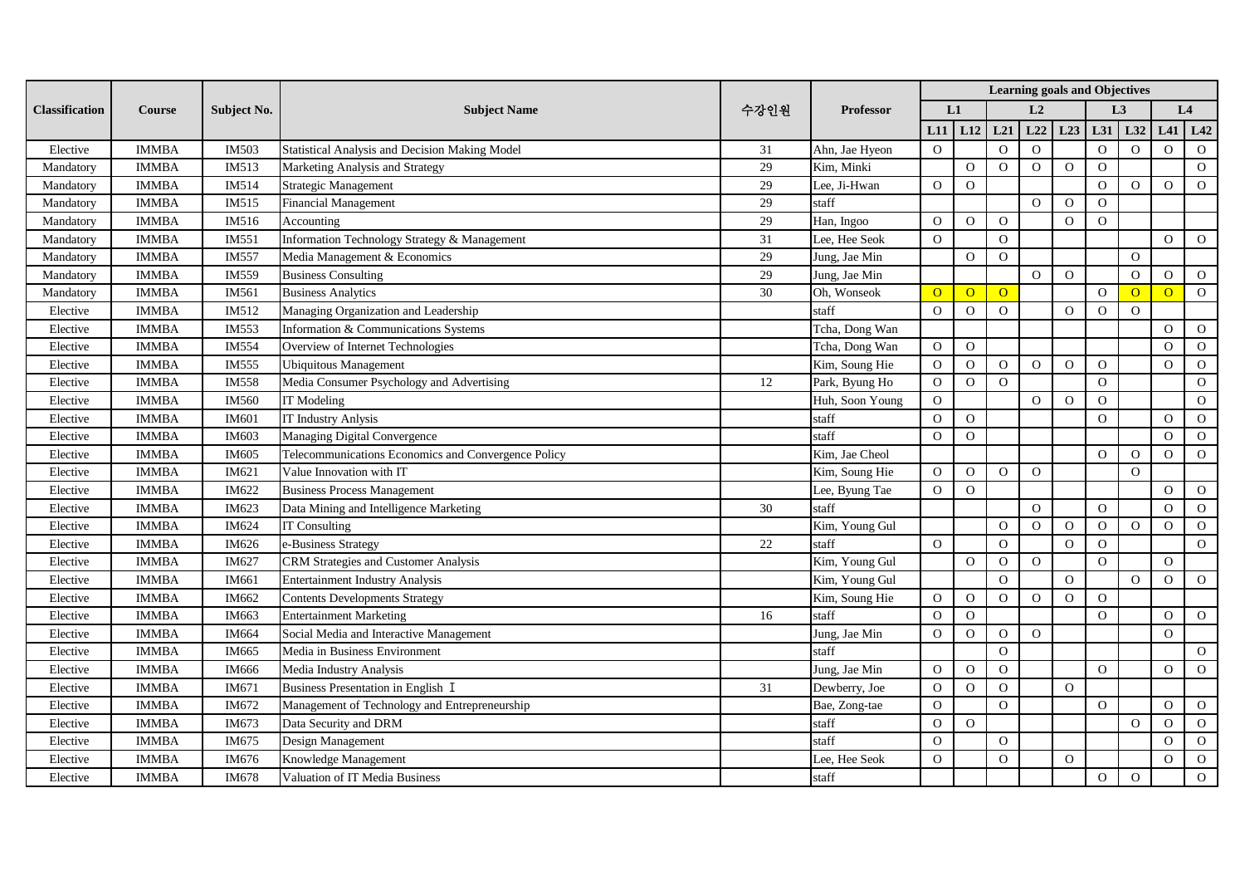|                       | <b>Course</b> | Subject No. | <b>Subject Name</b>                                   | 수강인원 | <b>Professor</b> | <b>Learning goals and Objectives</b> |                |                |                |              |                |                |          |                |  |
|-----------------------|---------------|-------------|-------------------------------------------------------|------|------------------|--------------------------------------|----------------|----------------|----------------|--------------|----------------|----------------|----------|----------------|--|
| <b>Classification</b> |               |             |                                                       |      |                  |                                      | L1             | L <sub>2</sub> |                |              | L <sub>3</sub> |                | L4       |                |  |
|                       |               |             |                                                       |      |                  | L11                                  | L12            | L21            | L22            | L23          | L31            | L32            | L41      | L42            |  |
| Elective              | <b>IMMBA</b>  | IM503       | <b>Statistical Analysis and Decision Making Model</b> | 31   | Ahn, Jae Hyeon   | $\Omega$                             |                | $\Omega$       | $\Omega$       |              | $\Omega$       | $\Omega$       | $\Omega$ | $\Omega$       |  |
| Mandatory             | <b>IMMBA</b>  | IM513       | Marketing Analysis and Strategy                       | 29   | Kim, Minki       |                                      | $\Omega$       | $\Omega$       | $\Omega$       | $\Omega$     | $\Omega$       |                |          | $\Omega$       |  |
| Mandatory             | <b>IMMBA</b>  | IM514       | Strategic Management                                  | 29   | Lee, Ji-Hwan     | $\Omega$                             | $\Omega$       |                |                |              | $\Omega$       | $\Omega$       | $\Omega$ | $\Omega$       |  |
| Mandatory             | <b>IMMBA</b>  | IM515       | <b>Financial Management</b>                           | 29   | staff            |                                      |                |                | $\Omega$       | $\Omega$     | $\Omega$       |                |          |                |  |
| Mandatory             | <b>IMMBA</b>  | IM516       | Accounting                                            | 29   | Han, Ingoo       | $\overline{O}$                       | $\mathbf{O}$   | $\Omega$       |                | $\Omega$     | $\Omega$       |                |          |                |  |
| Mandatory             | <b>IMMBA</b>  | IM551       | Information Technology Strategy & Management          | 31   | Lee, Hee Seok    | $\overline{O}$                       |                | $\Omega$       |                |              |                |                | $\Omega$ | $\mathbf{O}$   |  |
| Mandatory             | <b>IMMBA</b>  | IM557       | Media Management & Economics                          | 29   | Jung, Jae Min    |                                      | $\Omega$       | $\Omega$       |                |              |                | $\Omega$       |          |                |  |
| Mandatory             | <b>IMMBA</b>  | IM559       | <b>Business Consulting</b>                            | 29   | Jung, Jae Min    |                                      |                |                | $\overline{O}$ | $\Omega$     |                | $\Omega$       | $\Omega$ | $\overline{O}$ |  |
| Mandatory             | <b>IMMBA</b>  | IM561       | <b>Business Analytics</b>                             | 30   | Oh, Wonseok      | $\overline{O}$                       | $\overline{O}$ | $\overline{O}$ |                |              | $\Omega$       | $\Omega$       | $\Omega$ | $\overline{O}$ |  |
| Elective              | <b>IMMBA</b>  | IM512       | Managing Organization and Leadership                  |      | staff            | $\Omega$                             | $\Omega$       | $\Omega$       |                | $\Omega$     | $\Omega$       | $\Omega$       |          |                |  |
| Elective              | <b>IMMBA</b>  | IM553       | Information & Communications Systems                  |      | Tcha, Dong Wan   |                                      |                |                |                |              |                |                | $\Omega$ | $\mathbf{O}$   |  |
| Elective              | <b>IMMBA</b>  | IM554       | Overview of Internet Technologies                     |      | Tcha, Dong Wan   | $\mathbf{O}$                         | $\Omega$       |                |                |              |                |                | $\Omega$ | $\overline{O}$ |  |
| Elective              | <b>IMMBA</b>  | IM555       | <b>Ubiquitous Management</b>                          |      | Kim, Soung Hie   | $\mathbf{O}$                         | $\Omega$       | $\overline{O}$ | $\overline{O}$ | $\Omega$     | $\Omega$       |                | $\Omega$ | $\mathbf{O}$   |  |
| Elective              | <b>IMMBA</b>  | IM558       | Media Consumer Psychology and Advertising             | 12   | Park, Byung Ho   | $\mathbf{O}$                         | $\Omega$       | $\Omega$       |                |              | $\Omega$       |                |          | $\mathbf{O}$   |  |
| Elective              | <b>IMMBA</b>  | IM560       | <b>IT Modeling</b>                                    |      | Huh, Soon Young  | $\overline{O}$                       |                |                | $\Omega$       | $\Omega$     | $\Omega$       |                |          | $\mathbf{O}$   |  |
| Elective              | <b>IMMBA</b>  | IM601       | <b>IT Industry Anlysis</b>                            |      | staff            | $\overline{O}$                       | $\Omega$       |                |                |              | $\Omega$       |                | $\Omega$ | $\mathbf{O}$   |  |
| Elective              | <b>IMMBA</b>  | IM603       | Managing Digital Convergence                          |      | staff            | $\overline{O}$                       | $\Omega$       |                |                |              |                |                | $\Omega$ | $\mathbf{O}$   |  |
| Elective              | <b>IMMBA</b>  | IM605       | Telecommunications Economics and Convergence Policy   |      | Kim, Jae Cheol   |                                      |                |                |                |              | $\Omega$       | $\overline{O}$ | $\Omega$ | $\mathbf{O}$   |  |
| Elective              | <b>IMMBA</b>  | IM621       | Value Innovation with IT                              |      | Kim, Soung Hie   | $\mathbf{O}$                         | $\Omega$       | $\Omega$       | $\Omega$       |              |                | $\Omega$       |          |                |  |
| Elective              | <b>IMMBA</b>  | IM622       | <b>Business Process Management</b>                    |      | Lee, Byung Tae   | $\overline{O}$                       | $\mathbf{O}$   |                |                |              |                |                | $\Omega$ | $\mathbf{O}$   |  |
| Elective              | <b>IMMBA</b>  | IM623       | Data Mining and Intelligence Marketing                | 30   | staff            |                                      |                |                | $\Omega$       |              | $\Omega$       |                | $\Omega$ | $\mathbf{O}$   |  |
| Elective              | <b>IMMBA</b>  | IM624       | <b>IT Consulting</b>                                  |      | Kim, Young Gul   |                                      |                | $\Omega$       | $\overline{O}$ | $\mathbf{O}$ | $\mathbf{O}$   | $\overline{O}$ | $\Omega$ | $\mathbf{O}$   |  |
| Elective              | <b>IMMBA</b>  | IM626       | e-Business Strategy                                   | 22   | staff            | $\Omega$                             |                | $\Omega$       |                | $\Omega$     | $\Omega$       |                |          | $\mathbf{O}$   |  |
| Elective              | <b>IMMBA</b>  | IM627       | CRM Strategies and Customer Analysis                  |      | Kim, Young Gul   |                                      | $\mathbf{O}$   | $\overline{O}$ | $\mathbf{O}$   |              | $\Omega$       |                | $\Omega$ |                |  |
| Elective              | <b>IMMBA</b>  | IM661       | <b>Entertainment Industry Analysis</b>                |      | Kim, Young Gul   |                                      |                | $\Omega$       |                | $\Omega$     |                | $\Omega$       | $\Omega$ | $\mathbf{O}$   |  |
| Elective              | <b>IMMBA</b>  | IM662       | <b>Contents Developments Strategy</b>                 |      | Kim, Soung Hie   | $\mathbf{O}$                         | $\mathbf{O}$   | $\Omega$       | $\Omega$       | $\Omega$     | $\Omega$       |                |          |                |  |
| Elective              | <b>IMMBA</b>  | IM663       | <b>Entertainment Marketing</b>                        | 16   | staff            | $\Omega$                             | $\Omega$       |                |                |              | $\Omega$       |                | $\Omega$ | $\overline{O}$ |  |
| Elective              | <b>IMMBA</b>  | IM664       | Social Media and Interactive Management               |      | Jung, Jae Min    | $\mathbf{O}$                         | $\Omega$       | $\Omega$       | $\overline{O}$ |              |                |                | $\Omega$ |                |  |
| Elective              | <b>IMMBA</b>  | IM665       | Media in Business Environment                         |      | staff            |                                      |                | $\Omega$       |                |              |                |                |          | $\overline{O}$ |  |
| Elective              | <b>IMMBA</b>  | IM666       | Media Industry Analysis                               |      | Jung, Jae Min    | $\overline{O}$                       | $\mathbf{O}$   | $\Omega$       |                |              | $\Omega$       |                | $\Omega$ | $\mathbf{O}$   |  |
| Elective              | <b>IMMBA</b>  | IM671       | Business Presentation in English I                    | 31   | Dewberry, Joe    | $\Omega$                             | $\Omega$       | $\Omega$       |                | $\Omega$     |                |                |          |                |  |
| Elective              | <b>IMMBA</b>  | IM672       | Management of Technology and Entrepreneurship         |      | Bae, Zong-tae    | $\overline{O}$                       |                | $\Omega$       |                |              | $\Omega$       |                | $\Omega$ | $\mathbf{O}$   |  |
| Elective              | <b>IMMBA</b>  | IM673       | Data Security and DRM                                 |      | staff            | $\Omega$                             | $\Omega$       |                |                |              |                | $\Omega$       | $\Omega$ | $\mathbf{O}$   |  |
| Elective              | <b>IMMBA</b>  | IM675       | Design Management                                     |      | staff            | $\Omega$                             |                | $\Omega$       |                |              |                |                | $\Omega$ | $\mathbf{O}$   |  |
| Elective              | <b>IMMBA</b>  | IM676       | Knowledge Management                                  |      | Lee, Hee Seok    | $\mathbf{O}$                         |                | $\Omega$       |                | $\Omega$     |                |                | $\Omega$ | $\mathbf{O}$   |  |
| Elective              | <b>IMMBA</b>  | IM678       | Valuation of IT Media Business                        |      | staff            |                                      |                |                |                |              | $\mathbf{O}$   | $\overline{O}$ |          | $\Omega$       |  |